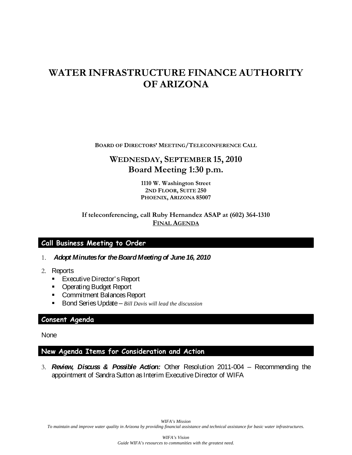# **WATER INFRASTRUCTURE FINANCE AUTHORITY OF ARIZONA**

**BOARD OF DIRECTORS' MEETING/TELECONFERENCE CALL**

## **WEDNESDAY, SEPTEMBER 15, 2010 Board Meeting 1:30 p.m.**

**1110 W. Washington Street 2ND FLOOR, SUITE 250 PHOENIX, ARIZONA 85007**

### **If teleconferencing, call Ruby Hernandez ASAP at (602) 364-1310 FINAL AGENDA**

### **Call Business Meeting to Order**

- 1. *Adopt Minutes for the Board Meeting of June 16, 2010*
- 2. Reports
	- **Executive Director's Report**
	- **Operating Budget Report**
	- **Commitment Balances Report**
	- Bond Series Update *Bill Davis will lead the discussion*

### **Consent Agenda**

None

### **New Agenda Items for Consideration and Action**

3. *Review, Discuss & Possible Action:* Other Resolution 2011-004 – Recommending the appointment of Sandra Sutton as Interim Executive Director of WIFA

*WIFA's Mission To maintain and improve water quality in Arizona by providing financial assistance and technical assistance for basic water infrastructures.*